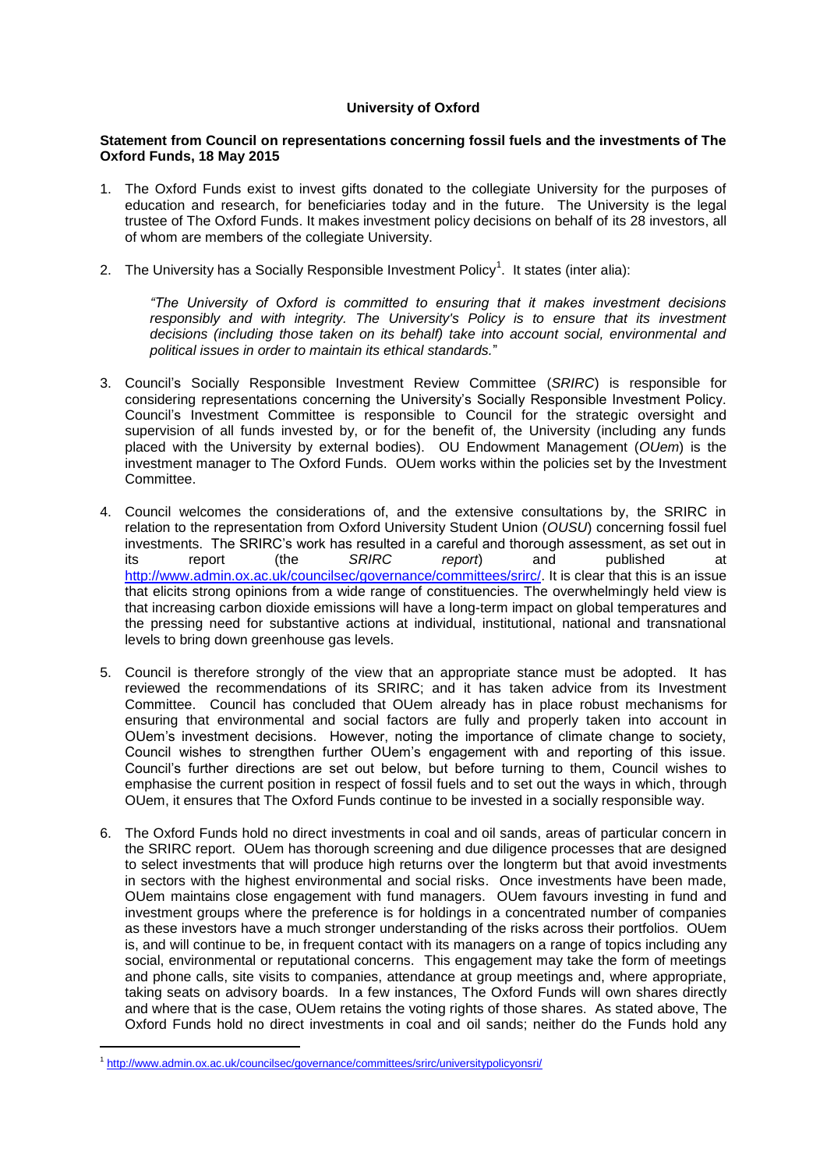## **University of Oxford**

## **Statement from Council on representations concerning fossil fuels and the investments of The Oxford Funds, 18 May 2015**

- 1. The Oxford Funds exist to invest gifts donated to the collegiate University for the purposes of education and research, for beneficiaries today and in the future. The University is the legal trustee of The Oxford Funds. It makes investment policy decisions on behalf of its 28 investors, all of whom are members of the collegiate University.
- 2. The University has a Socially Responsible Investment Policy<sup>1</sup>. It states (inter alia):

*"The University of Oxford is committed to ensuring that it makes investment decisions responsibly and with integrity. The University's Policy is to ensure that its investment decisions (including those taken on its behalf) take into account social, environmental and political issues in order to maintain its ethical standards.*"

- 3. Council's Socially Responsible Investment Review Committee (*SRIRC*) is responsible for considering representations concerning the University's Socially Responsible Investment Policy. Council's Investment Committee is responsible to Council for the strategic oversight and supervision of all funds invested by, or for the benefit of, the University (including any funds placed with the University by external bodies). OU Endowment Management (*OUem*) is the investment manager to The Oxford Funds. OUem works within the policies set by the Investment Committee.
- 4. Council welcomes the considerations of, and the extensive consultations by, the SRIRC in relation to the representation from Oxford University Student Union (*OUSU*) concerning fossil fuel investments. The SRIRC's work has resulted in a careful and thorough assessment, as set out in<br>its report the SRIRC report and published at its report (the *SRIRC report*) and published at [http://www.admin.ox.ac.uk/councilsec/governance/committees/srirc/.](http://www.admin.ox.ac.uk/councilsec/governance/committees/srirc/) It is clear that this is an issue that elicits strong opinions from a wide range of constituencies. The overwhelmingly held view is that increasing carbon dioxide emissions will have a long-term impact on global temperatures and the pressing need for substantive actions at individual, institutional, national and transnational levels to bring down greenhouse gas levels.
- 5. Council is therefore strongly of the view that an appropriate stance must be adopted. It has reviewed the recommendations of its SRIRC; and it has taken advice from its Investment Committee. Council has concluded that OUem already has in place robust mechanisms for ensuring that environmental and social factors are fully and properly taken into account in OUem's investment decisions. However, noting the importance of climate change to society, Council wishes to strengthen further OUem's engagement with and reporting of this issue. Council's further directions are set out below, but before turning to them, Council wishes to emphasise the current position in respect of fossil fuels and to set out the ways in which, through OUem, it ensures that The Oxford Funds continue to be invested in a socially responsible way.
- 6. The Oxford Funds hold no direct investments in coal and oil sands, areas of particular concern in the SRIRC report. OUem has thorough screening and due diligence processes that are designed to select investments that will produce high returns over the longterm but that avoid investments in sectors with the highest environmental and social risks. Once investments have been made, OUem maintains close engagement with fund managers. OUem favours investing in fund and investment groups where the preference is for holdings in a concentrated number of companies as these investors have a much stronger understanding of the risks across their portfolios. OUem is, and will continue to be, in frequent contact with its managers on a range of topics including any social, environmental or reputational concerns. This engagement may take the form of meetings and phone calls, site visits to companies, attendance at group meetings and, where appropriate, taking seats on advisory boards. In a few instances, The Oxford Funds will own shares directly and where that is the case, OUem retains the voting rights of those shares. As stated above, The Oxford Funds hold no direct investments in coal and oil sands; neither do the Funds hold any

1

<sup>&</sup>lt;sup>1</sup> <http://www.admin.ox.ac.uk/councilsec/governance/committees/srirc/universitypolicyonsri/>